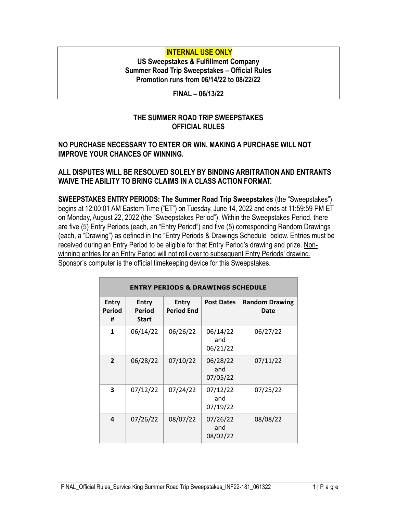# **INTERNAL USE ONLY**

**US Sweepstakes & Fulfillment Company Summer Road Trip Sweepstakes – Official Rules Promotion runs from 06/14/22 to 08/22/22**

**FINAL – 06/13/22**

## **THE SUMMER ROAD TRIP SWEEPSTAKES OFFICIAL RULES**

#### **NO PURCHASE NECESSARY TO ENTER OR WIN. MAKING A PURCHASE WILL NOT IMPROVE YOUR CHANCES OF WINNING.**

### **ALL DISPUTES WILL BE RESOLVED SOLELY BY BINDING ARBITRATION AND ENTRANTS WAIVE THE ABILITY TO BRING CLAIMS IN A CLASS ACTION FORMAT.**

**SWEEPSTAKES ENTRY PERIODS: The Summer Road Trip Sweepstakes** (the "Sweepstakes") begins at 12:00:01 AM Eastern Time ("ET") on Tuesday, June 14, 2022 and ends at 11:59:59 PM ET on Monday, August 22, 2022 (the "Sweepstakes Period"). Within the Sweepstakes Period, there are five (5) Entry Periods (each, an "Entry Period") and five (5) corresponding Random Drawings (each, a "Drawing") as defined in the "Entry Periods & Drawings Schedule" below. Entries must be received during an Entry Period to be eligible for that Entry Period's drawing and prize. Nonwinning entries for an Entry Period will not roll over to subsequent Entry Periods' drawing. Sponsor's computer is the official timekeeping device for this Sweepstakes.

| <b>ENTRY PERIODS &amp; DRAWINGS SCHEDULE</b> |                                        |                                   |                             |                                      |  |  |
|----------------------------------------------|----------------------------------------|-----------------------------------|-----------------------------|--------------------------------------|--|--|
| <b>Entry</b><br>Period<br>#                  | <b>Entry</b><br>Period<br><b>Start</b> | <b>Entry</b><br><b>Period End</b> | <b>Post Dates</b>           | <b>Random Drawing</b><br><b>Date</b> |  |  |
| $\mathbf{1}$                                 | 06/14/22                               | 06/26/22                          | 06/14/22<br>and<br>06/21/22 | 06/27/22                             |  |  |
| $\overline{2}$                               | 06/28/22                               | 07/10/22                          | 06/28/22<br>and<br>07/05/22 | 07/11/22                             |  |  |
| 3                                            | 07/12/22                               | 07/24/22                          | 07/12/22<br>and<br>07/19/22 | 07/25/22                             |  |  |
| 4                                            | 07/26/22                               | 08/07/22                          | 07/26/22<br>and<br>08/02/22 | 08/08/22                             |  |  |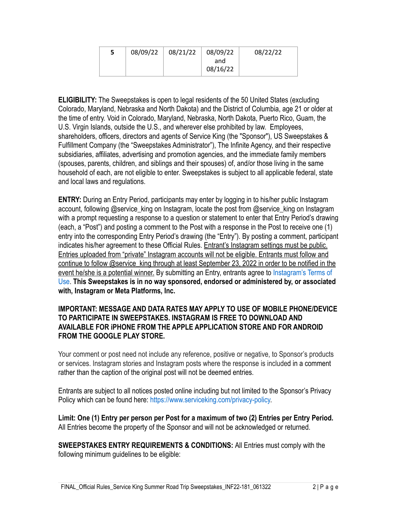| 5 | 08/09/22 | 08/21/22 | 08/09/22        | 08/22/22 |
|---|----------|----------|-----------------|----------|
|   |          |          | and<br>08/16/22 |          |

**ELIGIBILITY:** The Sweepstakes is open to legal residents of the 50 United States (excluding Colorado, Maryland, Nebraska and North Dakota) and the District of Columbia, age 21 or older at the time of entry. Void in Colorado, Maryland, Nebraska, North Dakota, Puerto Rico, Guam, the U.S. Virgin Islands, outside the U.S., and wherever else prohibited by law. Employees, shareholders, officers, directors and agents of Service King (the "Sponsor"), US Sweepstakes & Fulfillment Company (the "Sweepstakes Administrator"), The Infinite Agency, and their respective subsidiaries, affiliates, advertising and promotion agencies, and the immediate family members (spouses, parents, children, and siblings and their spouses) of, and/or those living in the same household of each, are not eligible to enter. Sweepstakes is subject to all applicable federal, state and local laws and regulations.

**ENTRY:** During an Entry Period, participants may enter by logging in to his/her public Instagram account, following @service\_king on Instagram, locate the post from @service\_king on Instagram with a prompt requesting a response to a question or statement to enter that Entry Period's drawing (each, a "Post") and posting a comment to the Post with a response in the Post to receive one (1) entry into the corresponding Entry Period's drawing (the "Entry"). By posting a comment, participant indicates his/her agreement to these Official Rules. Entrant's Instagram settings must be public. Entries uploaded from "private" Instagram accounts will not be eligible. Entrants must follow and continue to follow @service\_king through at least September 23, 2022 in order to be notified in the event he/she is a potential winner. By submitting an Entry, entrants agree to [Instagram's Terms of](http://instagram.com/about/legal/terms/)  [Use.](http://instagram.com/about/legal/terms/) **This Sweepstakes is in no way sponsored, endorsed or administered by, or associated with, Instagram or Meta Platforms, Inc.** 

#### **IMPORTANT: MESSAGE AND DATA RATES MAY APPLY TO USE OF MOBILE PHONE/DEVICE TO PARTICIPATE IN SWEEPSTAKES. INSTAGRAM IS FREE TO DOWNLOAD AND AVAILABLE FOR iPHONE FROM THE APPLE APPLICATION STORE AND FOR ANDROID FROM THE GOOGLE PLAY STORE.**

Your comment or post need not include any reference, positive or negative, to Sponsor's products or services. Instagram stories and Instagram posts where the response is included in a comment rather than the caption of the original post will not be deemed entries.

Entrants are subject to all notices posted online including but not limited to the Sponsor's Privacy Policy which can be found here: [https://www.serviceking.com/privacy-policy.](https://www.serviceking.com/privacy-policy)

**Limit: One (1) Entry per person per Post for a maximum of two (2) Entries per Entry Period.** All Entries become the property of the Sponsor and will not be acknowledged or returned.

**SWEEPSTAKES ENTRY REQUIREMENTS & CONDITIONS:** All Entries must comply with the following minimum guidelines to be eligible: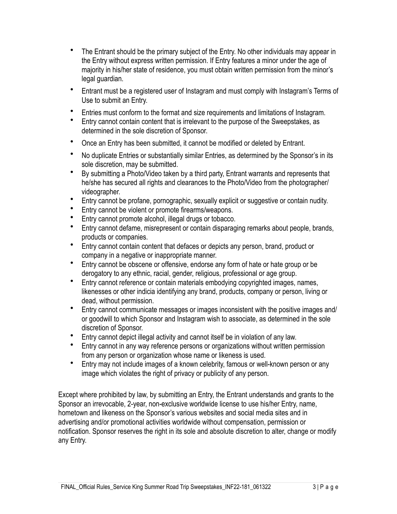- The Entrant should be the primary subject of the Entry. No other individuals may appear in the Entry without express written permission. If Entry features a minor under the age of majority in his/her state of residence, you must obtain written permission from the minor's legal guardian.
- Entrant must be a registered user of Instagram and must comply with Instagram's Terms of Use to submit an Entry.
- Entries must conform to the format and size requirements and limitations of Instagram.
- Entry cannot contain content that is irrelevant to the purpose of the Sweepstakes, as determined in the sole discretion of Sponsor.
- Once an Entry has been submitted, it cannot be modified or deleted by Entrant.
- No duplicate Entries or substantially similar Entries, as determined by the Sponsor's in its sole discretion, may be submitted.
- By submitting a Photo/Video taken by a third party, Entrant warrants and represents that he/she has secured all rights and clearances to the Photo/Video from the photographer/ videographer.
- Entry cannot be profane, pornographic, sexually explicit or suggestive or contain nudity.
- Entry cannot be violent or promote firearms/weapons.
- Entry cannot promote alcohol, illegal drugs or tobacco.
- Entry cannot defame, misrepresent or contain disparaging remarks about people, brands, products or companies.
- Entry cannot contain content that defaces or depicts any person, brand, product or company in a negative or inappropriate manner.
- Entry cannot be obscene or offensive, endorse any form of hate or hate group or be derogatory to any ethnic, racial, gender, religious, professional or age group.
- Entry cannot reference or contain materials embodying copyrighted images, names, likenesses or other indicia identifying any brand, products, company or person, living or dead, without permission.
- Entry cannot communicate messages or images inconsistent with the positive images and/ or goodwill to which Sponsor and Instagram wish to associate, as determined in the sole discretion of Sponsor.
- Entry cannot depict illegal activity and cannot itself be in violation of any law.
- Entry cannot in any way reference persons or organizations without written permission from any person or organization whose name or likeness is used.
- Entry may not include images of a known celebrity, famous or well-known person or any image which violates the right of privacy or publicity of any person.

Except where prohibited by law, by submitting an Entry, the Entrant understands and grants to the Sponsor an irrevocable, 2-year, non-exclusive worldwide license to use his/her Entry, name, hometown and likeness on the Sponsor's various websites and social media sites and in advertising and/or promotional activities worldwide without compensation, permission or notification. Sponsor reserves the right in its sole and absolute discretion to alter, change or modify any Entry.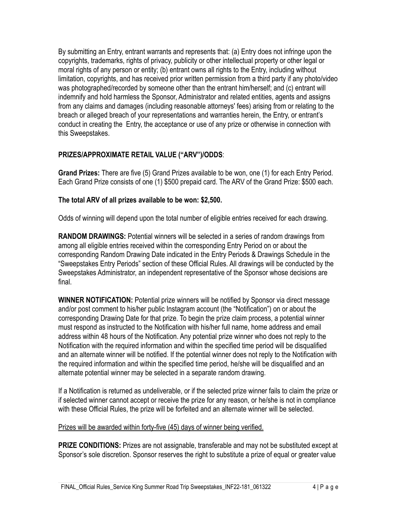By submitting an Entry, entrant warrants and represents that: (a) Entry does not infringe upon the copyrights, trademarks, rights of privacy, publicity or other intellectual property or other legal or moral rights of any person or entity; (b) entrant owns all rights to the Entry, including without limitation, copyrights, and has received prior written permission from a third party if any photo/video was photographed/recorded by someone other than the entrant him/herself; and (c) entrant will indemnify and hold harmless the Sponsor, Administrator and related entities, agents and assigns from any claims and damages (including reasonable attorneys' fees) arising from or relating to the breach or alleged breach of your representations and warranties herein, the Entry, or entrant's conduct in creating the Entry, the acceptance or use of any prize or otherwise in connection with this Sweepstakes.

# **PRIZES/APPROXIMATE RETAIL VALUE ("ARV")/ODDS**:

**Grand Prizes:** There are five (5) Grand Prizes available to be won, one (1) for each Entry Period. Each Grand Prize consists of one (1) \$500 prepaid card. The ARV of the Grand Prize: \$500 each.

## **The total ARV of all prizes available to be won: \$2,500.**

Odds of winning will depend upon the total number of eligible entries received for each drawing.

**RANDOM DRAWINGS:** Potential winners will be selected in a series of random drawings from among all eligible entries received within the corresponding Entry Period on or about the corresponding Random Drawing Date indicated in the Entry Periods & Drawings Schedule in the "Sweepstakes Entry Periods" section of these Official Rules. All drawings will be conducted by the Sweepstakes Administrator, an independent representative of the Sponsor whose decisions are final.

**WINNER NOTIFICATION:** Potential prize winners will be notified by Sponsor via direct message and/or post comment to his/her public Instagram account (the "Notification") on or about the corresponding Drawing Date for that prize. To begin the prize claim process, a potential winner must respond as instructed to the Notification with his/her full name, home address and email address within 48 hours of the Notification. Any potential prize winner who does not reply to the Notification with the required information and within the specified time period will be disqualified and an alternate winner will be notified. If the potential winner does not reply to the Notification with the required information and within the specified time period, he/she will be disqualified and an alternate potential winner may be selected in a separate random drawing.

If a Notification is returned as undeliverable, or if the selected prize winner fails to claim the prize or if selected winner cannot accept or receive the prize for any reason, or he/she is not in compliance with these Official Rules, the prize will be forfeited and an alternate winner will be selected.

#### Prizes will be awarded within forty-five (45) days of winner being verified.

**PRIZE CONDITIONS:** Prizes are not assignable, transferable and may not be substituted except at Sponsor's sole discretion. Sponsor reserves the right to substitute a prize of equal or greater value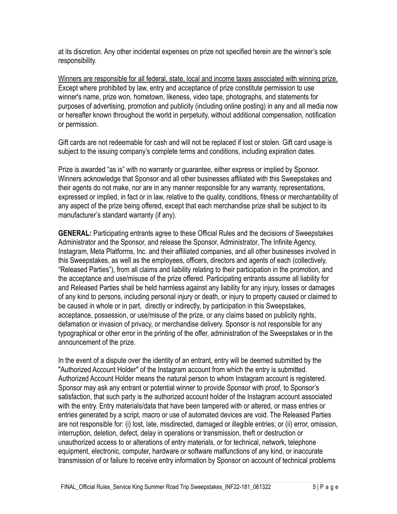at its discretion. Any other incidental expenses on prize not specified herein are the winner's sole responsibility.

Winners are responsible for all federal, state, local and income taxes associated with winning prize. Except where prohibited by law, entry and acceptance of prize constitute permission to use winner's name, prize won, hometown, likeness, video tape, photographs, and statements for purposes of advertising, promotion and publicity (including online posting) in any and all media now or hereafter known throughout the world in perpetuity, without additional compensation, notification or permission.

Gift cards are not redeemable for cash and will not be replaced if lost or stolen. Gift card usage is subject to the issuing company's complete terms and conditions, including expiration dates.

Prize is awarded "as is" with no warranty or guarantee, either express or implied by Sponsor. Winners acknowledge that Sponsor and all other businesses affiliated with this Sweepstakes and their agents do not make, nor are in any manner responsible for any warranty, representations, expressed or implied, in fact or in law, relative to the quality, conditions, fitness or merchantability of any aspect of the prize being offered, except that each merchandise prize shall be subject to its manufacturer's standard warranty (if any).

**GENERAL:** Participating entrants agree to these Official Rules and the decisions of Sweepstakes Administrator and the Sponsor, and release the Sponsor, Administrator, The Infinite Agency, Instagram, Meta Platforms, Inc. and their affiliated companies, and all other businesses involved in this Sweepstakes, as well as the employees, officers, directors and agents of each (collectively, "Released Parties"), from all claims and liability relating to their participation in the promotion, and the acceptance and use/misuse of the prize offered. Participating entrants assume all liability for and Released Parties shall be held harmless against any liability for any injury, losses or damages of any kind to persons, including personal injury or death, or injury to property caused or claimed to be caused in whole or in part, directly or indirectly, by participation in this Sweepstakes, acceptance, possession, or use/misuse of the prize, or any claims based on publicity rights, defamation or invasion of privacy, or merchandise delivery. Sponsor is not responsible for any typographical or other error in the printing of the offer, administration of the Sweepstakes or in the announcement of the prize.

In the event of a dispute over the identity of an entrant, entry will be deemed submitted by the "Authorized Account Holder" of the Instagram account from which the entry is submitted. Authorized Account Holder means the natural person to whom Instagram account is registered. Sponsor may ask any entrant or potential winner to provide Sponsor with proof, to Sponsor's satisfaction, that such party is the authorized account holder of the Instagram account associated with the entry. Entry materials/data that have been tampered with or altered, or mass entries or entries generated by a script, macro or use of automated devices are void. The Released Parties are not responsible for: (i) lost, late, misdirected, damaged or illegible entries; or (ii) error, omission, interruption, deletion, defect, delay in operations or transmission, theft or destruction or unauthorized access to or alterations of entry materials, or for technical, network, telephone equipment, electronic, computer, hardware or software malfunctions of any kind, or inaccurate transmission of or failure to receive entry information by Sponsor on account of technical problems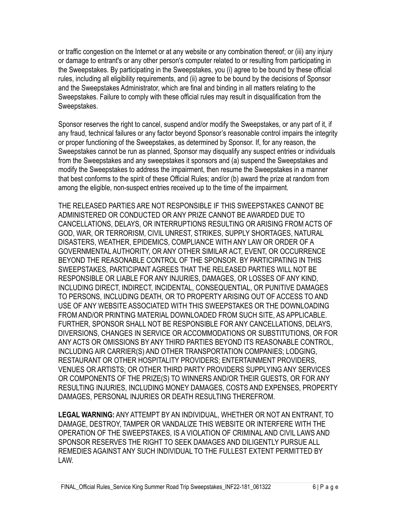or traffic congestion on the Internet or at any website or any combination thereof; or (iii) any injury or damage to entrant's or any other person's computer related to or resulting from participating in the Sweepstakes. By participating in the Sweepstakes, you (i) agree to be bound by these official rules, including all eligibility requirements, and (ii) agree to be bound by the decisions of Sponsor and the Sweepstakes Administrator, which are final and binding in all matters relating to the Sweepstakes. Failure to comply with these official rules may result in disqualification from the Sweepstakes.

Sponsor reserves the right to cancel, suspend and/or modify the Sweepstakes, or any part of it, if any fraud, technical failures or any factor beyond Sponsor's reasonable control impairs the integrity or proper functioning of the Sweepstakes, as determined by Sponsor. If, for any reason, the Sweepstakes cannot be run as planned, Sponsor may disqualify any suspect entries or individuals from the Sweepstakes and any sweepstakes it sponsors and (a) suspend the Sweepstakes and modify the Sweepstakes to address the impairment, then resume the Sweepstakes in a manner that best conforms to the spirit of these Official Rules; and/or (b) award the prize at random from among the eligible, non-suspect entries received up to the time of the impairment.

THE RELEASED PARTIES ARE NOT RESPONSIBLE IF THIS SWEEPSTAKES CANNOT BE ADMINISTERED OR CONDUCTED OR ANY PRIZE CANNOT BE AWARDED DUE TO CANCELLATIONS, DELAYS, OR INTERRUPTIONS RESULTING OR ARISING FROM ACTS OF GOD, WAR, OR TERRORISM, CIVIL UNREST, STRIKES, SUPPLY SHORTAGES, NATURAL DISASTERS, WEATHER, EPIDEMICS, COMPLIANCE WITH ANY LAW OR ORDER OF A GOVERNMENTAL AUTHORITY, OR ANY OTHER SIMILAR ACT, EVENT, OR OCCURRENCE BEYOND THE REASONABLE CONTROL OF THE SPONSOR. BY PARTICIPATING IN THIS SWEEPSTAKES, PARTICIPANT AGREES THAT THE RELEASED PARTIES WILL NOT BE RESPONSIBLE OR LIABLE FOR ANY INJURIES, DAMAGES, OR LOSSES OF ANY KIND, INCLUDING DIRECT, INDIRECT, INCIDENTAL, CONSEQUENTIAL, OR PUNITIVE DAMAGES TO PERSONS, INCLUDING DEATH, OR TO PROPERTY ARISING OUT OF ACCESS TO AND USE OF ANY WEBSITE ASSOCIATED WITH THIS SWEEPSTAKES OR THE DOWNLOADING FROM AND/OR PRINTING MATERIAL DOWNLOADED FROM SUCH SITE, AS APPLICABLE. FURTHER, SPONSOR SHALL NOT BE RESPONSIBLE FOR ANY CANCELLATIONS, DELAYS, DIVERSIONS, CHANGES IN SERVICE OR ACCOMMODATIONS OR SUBSTITUTIONS, OR FOR ANY ACTS OR OMISSIONS BY ANY THIRD PARTIES BEYOND ITS REASONABLE CONTROL, INCLUDING AIR CARRIER(S) AND OTHER TRANSPORTATION COMPANIES; LODGING, RESTAURANT OR OTHER HOSPITALITY PROVIDERS; ENTERTAINMENT PROVIDERS, VENUES OR ARTISTS; OR OTHER THIRD PARTY PROVIDERS SUPPLYING ANY SERVICES OR COMPONENTS OF THE PRIZE(S) TO WINNERS AND/OR THEIR GUESTS, OR FOR ANY RESULTING INJURIES, INCLUDING MONEY DAMAGES, COSTS AND EXPENSES, PROPERTY DAMAGES, PERSONAL INJURIES OR DEATH RESULTING THEREFROM.

**LEGAL WARNING:** ANY ATTEMPT BY AN INDIVIDUAL, WHETHER OR NOT AN ENTRANT, TO DAMAGE, DESTROY, TAMPER OR VANDALIZE THIS WEBSITE OR INTERFERE WITH THE OPERATION OF THE SWEEPSTAKES, IS A VIOLATION OF CRIMINAL AND CIVIL LAWS AND SPONSOR RESERVES THE RIGHT TO SEEK DAMAGES AND DILIGENTLY PURSUE ALL REMEDIES AGAINST ANY SUCH INDIVIDUAL TO THE FULLEST EXTENT PERMITTED BY LAW.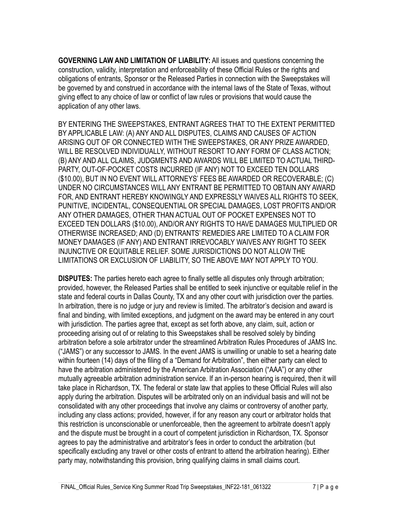**GOVERNING LAW AND LIMITATION OF LIABILITY:** All issues and questions concerning the construction, validity, interpretation and enforceability of these Official Rules or the rights and obligations of entrants, Sponsor or the Released Parties in connection with the Sweepstakes will be governed by and construed in accordance with the internal laws of the State of Texas, without giving effect to any choice of law or conflict of law rules or provisions that would cause the application of any other laws.

BY ENTERING THE SWEEPSTAKES, ENTRANT AGREES THAT TO THE EXTENT PERMITTED BY APPLICABLE LAW: (A) ANY AND ALL DISPUTES, CLAIMS AND CAUSES OF ACTION ARISING OUT OF OR CONNECTED WITH THE SWEEPSTAKES, OR ANY PRIZE AWARDED, WILL BE RESOLVED INDIVIDUALLY, WITHOUT RESORT TO ANY FORM OF CLASS ACTION; (B) ANY AND ALL CLAIMS, JUDGMENTS AND AWARDS WILL BE LIMITED TO ACTUAL THIRD-PARTY, OUT-OF-POCKET COSTS INCURRED (IF ANY) NOT TO EXCEED TEN DOLLARS (\$10.00), BUT IN NO EVENT WILL ATTORNEYS' FEES BE AWARDED OR RECOVERABLE; (C) UNDER NO CIRCUMSTANCES WILL ANY ENTRANT BE PERMITTED TO OBTAIN ANY AWARD FOR, AND ENTRANT HEREBY KNOWINGLY AND EXPRESSLY WAIVES ALL RIGHTS TO SEEK, PUNITIVE, INCIDENTAL, CONSEQUENTIAL OR SPECIAL DAMAGES, LOST PROFITS AND/OR ANY OTHER DAMAGES, OTHER THAN ACTUAL OUT OF POCKET EXPENSES NOT TO EXCEED TEN DOLLARS (\$10.00), AND/OR ANY RIGHTS TO HAVE DAMAGES MULTIPLIED OR OTHERWISE INCREASED; AND (D) ENTRANTS' REMEDIES ARE LIMITED TO A CLAIM FOR MONEY DAMAGES (IF ANY) AND ENTRANT IRREVOCABLY WAIVES ANY RIGHT TO SEEK INJUNCTIVE OR EQUITABLE RELIEF. SOME JURISDICTIONS DO NOT ALLOW THE LIMITATIONS OR EXCLUSION OF LIABILITY, SO THE ABOVE MAY NOT APPLY TO YOU.

**DISPUTES:** The parties hereto each agree to finally settle all disputes only through arbitration; provided, however, the Released Parties shall be entitled to seek injunctive or equitable relief in the state and federal courts in Dallas County, TX and any other court with jurisdiction over the parties. In arbitration, there is no judge or jury and review is limited. The arbitrator's decision and award is final and binding, with limited exceptions, and judgment on the award may be entered in any court with jurisdiction. The parties agree that, except as set forth above, any claim, suit, action or proceeding arising out of or relating to this Sweepstakes shall be resolved solely by binding arbitration before a sole arbitrator under the streamlined Arbitration Rules Procedures of JAMS Inc. ("JAMS") or any successor to JAMS. In the event JAMS is unwilling or unable to set a hearing date within fourteen (14) days of the filing of a "Demand for Arbitration", then either party can elect to have the arbitration administered by the American Arbitration Association ("AAA") or any other mutually agreeable arbitration administration service. If an in-person hearing is required, then it will take place in Richardson, TX. The federal or state law that applies to these Official Rules will also apply during the arbitration. Disputes will be arbitrated only on an individual basis and will not be consolidated with any other proceedings that involve any claims or controversy of another party, including any class actions; provided, however, if for any reason any court or arbitrator holds that this restriction is unconscionable or unenforceable, then the agreement to arbitrate doesn't apply and the dispute must be brought in a court of competent jurisdiction in Richardson, TX. Sponsor agrees to pay the administrative and arbitrator's fees in order to conduct the arbitration (but specifically excluding any travel or other costs of entrant to attend the arbitration hearing). Either party may, notwithstanding this provision, bring qualifying claims in small claims court.